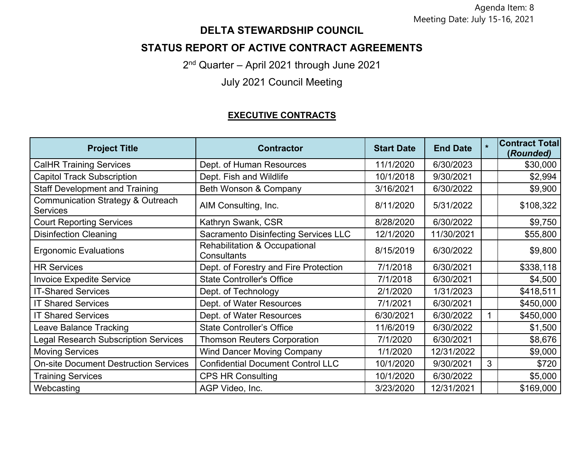Agenda Item: 8 Meeting Date: July 15-16, 2021

## **DELTA STEWARDSHIP COUNCIL**

# **STATUS REPORT OF ACTIVE CONTRACT AGREEMENTS**

2nd Quarter – April 2021 through June 2021

July 2021 Council Meeting

#### **EXECUTIVE CONTRACTS**

| <b>Project Title</b>                                 | <b>Contractor</b>                                       | <b>Start Date</b> | <b>End Date</b> | $\star$ | <b>Contract Total</b><br>(Rounded) |
|------------------------------------------------------|---------------------------------------------------------|-------------------|-----------------|---------|------------------------------------|
| <b>CalHR Training Services</b>                       | Dept. of Human Resources                                | 11/1/2020         | 6/30/2023       |         | \$30,000                           |
| <b>Capitol Track Subscription</b>                    | Dept. Fish and Wildlife                                 | 10/1/2018         | 9/30/2021       |         | \$2,994                            |
| <b>Staff Development and Training</b>                | Beth Wonson & Company                                   | 3/16/2021         | 6/30/2022       |         | \$9,900                            |
| Communication Strategy & Outreach<br><b>Services</b> | AIM Consulting, Inc.                                    | 8/11/2020         | 5/31/2022       |         | \$108,322                          |
| <b>Court Reporting Services</b>                      | Kathryn Swank, CSR                                      | 8/28/2020         | 6/30/2022       |         | \$9,750                            |
| <b>Disinfection Cleaning</b>                         | <b>Sacramento Disinfecting Services LLC</b>             | 12/1/2020         | 11/30/2021      |         | \$55,800                           |
| <b>Ergonomic Evaluations</b>                         | <b>Rehabilitation &amp; Occupational</b><br>Consultants | 8/15/2019         | 6/30/2022       |         | \$9,800                            |
| <b>HR Services</b>                                   | Dept. of Forestry and Fire Protection                   | 7/1/2018          | 6/30/2021       |         | \$338,118                          |
| <b>Invoice Expedite Service</b>                      | <b>State Controller's Office</b>                        | 7/1/2018          | 6/30/2021       |         | \$4,500                            |
| <b>IT-Shared Services</b>                            | Dept. of Technology                                     | 2/1/2020          | 1/31/2023       |         | \$418,511                          |
| <b>IT Shared Services</b>                            | Dept. of Water Resources                                | 7/1/2021          | 6/30/2021       |         | \$450,000                          |
| <b>IT Shared Services</b>                            | Dept. of Water Resources                                | 6/30/2021         | 6/30/2022       |         | \$450,000                          |
| Leave Balance Tracking                               | <b>State Controller's Office</b>                        | 11/6/2019         | 6/30/2022       |         | \$1,500                            |
| <b>Legal Research Subscription Services</b>          | <b>Thomson Reuters Corporation</b>                      | 7/1/2020          | 6/30/2021       |         | \$8,676                            |
| <b>Moving Services</b>                               | <b>Wind Dancer Moving Company</b>                       | 1/1/2020          | 12/31/2022      |         | \$9,000                            |
| <b>On-site Document Destruction Services</b>         | <b>Confidential Document Control LLC</b>                | 10/1/2020         | 9/30/2021       | 3       | \$720                              |
| <b>Training Services</b>                             | <b>CPS HR Consulting</b>                                | 10/1/2020         | 6/30/2022       |         | \$5,000                            |
| Webcasting                                           | AGP Video, Inc.                                         | 3/23/2020         | 12/31/2021      |         | \$169,000                          |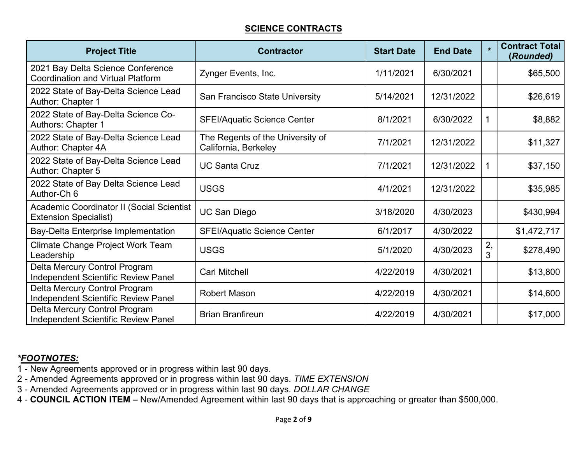### **SCIENCE CONTRACTS**

| <b>Project Title</b>                                                          | <b>Contractor</b>                                        | <b>Start Date</b> | <b>End Date</b> | $\star$ | <b>Contract Total</b><br>(Rounded) |
|-------------------------------------------------------------------------------|----------------------------------------------------------|-------------------|-----------------|---------|------------------------------------|
| 2021 Bay Delta Science Conference<br><b>Coordination and Virtual Platform</b> | Zynger Events, Inc.                                      | 1/11/2021         | 6/30/2021       |         | \$65,500                           |
| 2022 State of Bay-Delta Science Lead<br>Author: Chapter 1                     | San Francisco State University                           | 5/14/2021         | 12/31/2022      |         | \$26,619                           |
| 2022 State of Bay-Delta Science Co-<br>Authors: Chapter 1                     | <b>SFEI/Aquatic Science Center</b>                       | 8/1/2021          | 6/30/2022       |         | \$8,882                            |
| 2022 State of Bay-Delta Science Lead<br>Author: Chapter 4A                    | The Regents of the University of<br>California, Berkeley | 7/1/2021          | 12/31/2022      |         | \$11,327                           |
| 2022 State of Bay-Delta Science Lead<br>Author: Chapter 5                     | <b>UC Santa Cruz</b>                                     | 7/1/2021          | 12/31/2022      |         | \$37,150                           |
| 2022 State of Bay Delta Science Lead<br>Author-Ch 6                           | <b>USGS</b>                                              | 4/1/2021          | 12/31/2022      |         | \$35,985                           |
| Academic Coordinator II (Social Scientist<br><b>Extension Specialist)</b>     | <b>UC San Diego</b>                                      | 3/18/2020         | 4/30/2023       |         | \$430,994                          |
| Bay-Delta Enterprise Implementation                                           | <b>SFEI/Aquatic Science Center</b>                       | 6/1/2017          | 4/30/2022       |         | \$1,472,717                        |
| Climate Change Project Work Team<br>Leadership                                | <b>USGS</b>                                              | 5/1/2020          | 4/30/2023       | 2,<br>3 | \$278,490                          |
| Delta Mercury Control Program<br><b>Independent Scientific Review Panel</b>   | <b>Carl Mitchell</b>                                     | 4/22/2019         | 4/30/2021       |         | \$13,800                           |
| Delta Mercury Control Program<br><b>Independent Scientific Review Panel</b>   | <b>Robert Mason</b>                                      | 4/22/2019         | 4/30/2021       |         | \$14,600                           |
| Delta Mercury Control Program<br>Independent Scientific Review Panel          | <b>Brian Branfireun</b>                                  | 4/22/2019         | 4/30/2021       |         | \$17,000                           |

- 1 New Agreements approved or in progress within last 90 days.
- 2 Amended Agreements approved or in progress within last 90 days. *TIME EXTENSION*
- 3 Amended Agreements approved or in progress within last 90 days. *DOLLAR CHANGE*
- 4 **COUNCIL ACTION ITEM –** New/Amended Agreement within last 90 days that is approaching or greater than \$500,000.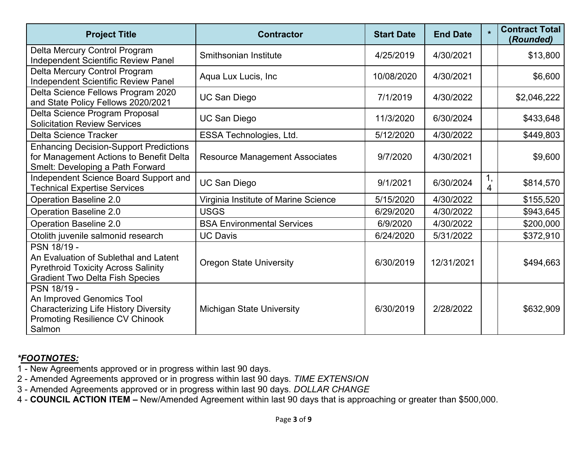| <b>Project Title</b>                                                                                                                         | <b>Contractor</b>                     | <b>Start Date</b> | <b>End Date</b> | $\star$ | <b>Contract Total</b><br>(Rounded) |
|----------------------------------------------------------------------------------------------------------------------------------------------|---------------------------------------|-------------------|-----------------|---------|------------------------------------|
| Delta Mercury Control Program<br><b>Independent Scientific Review Panel</b>                                                                  | Smithsonian Institute                 | 4/25/2019         | 4/30/2021       |         | \$13,800                           |
| Delta Mercury Control Program<br><b>Independent Scientific Review Panel</b>                                                                  | Aqua Lux Lucis, Inc.                  | 10/08/2020        | 4/30/2021       |         | \$6,600                            |
| Delta Science Fellows Program 2020<br>and State Policy Fellows 2020/2021                                                                     | <b>UC San Diego</b>                   | 7/1/2019          | 4/30/2022       |         | \$2,046,222                        |
| Delta Science Program Proposal<br><b>Solicitation Review Services</b>                                                                        | <b>UC San Diego</b>                   | 11/3/2020         | 6/30/2024       |         | \$433,648                          |
| <b>Delta Science Tracker</b>                                                                                                                 | ESSA Technologies, Ltd.               | 5/12/2020         | 4/30/2022       |         | \$449,803                          |
| <b>Enhancing Decision-Support Predictions</b><br>for Management Actions to Benefit Delta<br>Smelt: Developing a Path Forward                 | <b>Resource Management Associates</b> | 9/7/2020          | 4/30/2021       |         | \$9,600                            |
| Independent Science Board Support and<br><b>Technical Expertise Services</b>                                                                 | <b>UC San Diego</b>                   | 9/1/2021          | 6/30/2024       | 1,<br>4 | \$814,570                          |
| <b>Operation Baseline 2.0</b>                                                                                                                | Virginia Institute of Marine Science  | 5/15/2020         | 4/30/2022       |         | \$155,520                          |
| <b>Operation Baseline 2.0</b>                                                                                                                | <b>USGS</b>                           | 6/29/2020         | 4/30/2022       |         | \$943,645                          |
| <b>Operation Baseline 2.0</b>                                                                                                                | <b>BSA Environmental Services</b>     | 6/9/2020          | 4/30/2022       |         | \$200,000                          |
| Otolith juvenile salmonid research                                                                                                           | <b>UC Davis</b>                       | 6/24/2020         | 5/31/2022       |         | \$372,910                          |
| PSN 18/19 -<br>An Evaluation of Sublethal and Latent<br><b>Pyrethroid Toxicity Across Salinity</b><br><b>Gradient Two Delta Fish Species</b> | <b>Oregon State University</b>        | 6/30/2019         | 12/31/2021      |         | \$494,663                          |
| PSN 18/19 -<br>An Improved Genomics Tool<br><b>Characterizing Life History Diversity</b><br><b>Promoting Resilience CV Chinook</b><br>Salmon | <b>Michigan State University</b>      | 6/30/2019         | 2/28/2022       |         | \$632,909                          |

- 1 New Agreements approved or in progress within last 90 days.
- 2 Amended Agreements approved or in progress within last 90 days. *TIME EXTENSION*
- 3 Amended Agreements approved or in progress within last 90 days. *DOLLAR CHANGE*
- 4 **COUNCIL ACTION ITEM –** New/Amended Agreement within last 90 days that is approaching or greater than \$500,000.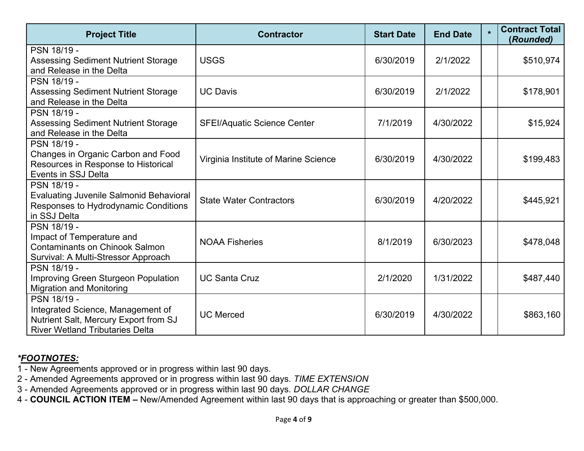| <b>Project Title</b>                                                                                                                | <b>Contractor</b>                    | <b>Start Date</b> | <b>End Date</b> | $\star$ | <b>Contract Total</b><br>(Rounded) |
|-------------------------------------------------------------------------------------------------------------------------------------|--------------------------------------|-------------------|-----------------|---------|------------------------------------|
| PSN 18/19 -<br><b>Assessing Sediment Nutrient Storage</b><br>and Release in the Delta                                               | <b>USGS</b>                          | 6/30/2019         | 2/1/2022        |         | \$510,974                          |
| PSN 18/19 -<br><b>Assessing Sediment Nutrient Storage</b><br>and Release in the Delta                                               | <b>UC Davis</b>                      | 6/30/2019         | 2/1/2022        |         | \$178,901                          |
| PSN 18/19 -<br><b>Assessing Sediment Nutrient Storage</b><br>and Release in the Delta                                               | <b>SFEI/Aquatic Science Center</b>   | 7/1/2019          | 4/30/2022       |         | \$15,924                           |
| PSN 18/19 -<br>Changes in Organic Carbon and Food<br>Resources in Response to Historical<br>Events in SSJ Delta                     | Virginia Institute of Marine Science | 6/30/2019         | 4/30/2022       |         | \$199,483                          |
| PSN 18/19 -<br><b>Evaluating Juvenile Salmonid Behavioral</b><br>Responses to Hydrodynamic Conditions<br>in SSJ Delta               | <b>State Water Contractors</b>       | 6/30/2019         | 4/20/2022       |         | \$445,921                          |
| PSN 18/19 -<br>Impact of Temperature and<br><b>Contaminants on Chinook Salmon</b><br>Survival: A Multi-Stressor Approach            | <b>NOAA Fisheries</b>                | 8/1/2019          | 6/30/2023       |         | \$478,048                          |
| PSN 18/19 -<br>Improving Green Sturgeon Population<br><b>Migration and Monitoring</b>                                               | <b>UC Santa Cruz</b>                 | 2/1/2020          | 1/31/2022       |         | \$487,440                          |
| PSN 18/19 -<br>Integrated Science, Management of<br>Nutrient Salt, Mercury Export from SJ<br><b>River Wetland Tributaries Delta</b> | <b>UC Merced</b>                     | 6/30/2019         | 4/30/2022       |         | \$863,160                          |

- 1 New Agreements approved or in progress within last 90 days.
- 2 Amended Agreements approved or in progress within last 90 days. *TIME EXTENSION*
- 3 Amended Agreements approved or in progress within last 90 days. *DOLLAR CHANGE*
- 4 **COUNCIL ACTION ITEM –** New/Amended Agreement within last 90 days that is approaching or greater than \$500,000.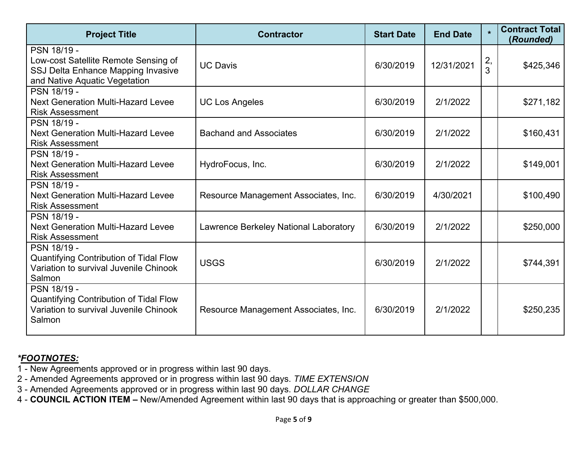| <b>Project Title</b>                                                                                                       | <b>Contractor</b>                     | <b>Start Date</b> | <b>End Date</b> | $\star$ | <b>Contract Total</b><br>(Rounded) |
|----------------------------------------------------------------------------------------------------------------------------|---------------------------------------|-------------------|-----------------|---------|------------------------------------|
| PSN 18/19 -<br>Low-cost Satellite Remote Sensing of<br>SSJ Delta Enhance Mapping Invasive<br>and Native Aquatic Vegetation | <b>UC Davis</b>                       | 6/30/2019         | 12/31/2021      | 2,<br>3 | \$425,346                          |
| PSN 18/19 -<br><b>Next Generation Multi-Hazard Levee</b><br><b>Risk Assessment</b>                                         | <b>UC Los Angeles</b>                 | 6/30/2019         | 2/1/2022        |         | \$271,182                          |
| PSN 18/19 -<br><b>Next Generation Multi-Hazard Levee</b><br><b>Risk Assessment</b>                                         | <b>Bachand and Associates</b>         | 6/30/2019         | 2/1/2022        |         | \$160,431                          |
| PSN 18/19 -<br><b>Next Generation Multi-Hazard Levee</b><br><b>Risk Assessment</b>                                         | HydroFocus, Inc.                      | 6/30/2019         | 2/1/2022        |         | \$149,001                          |
| PSN 18/19 -<br><b>Next Generation Multi-Hazard Levee</b><br><b>Risk Assessment</b>                                         | Resource Management Associates, Inc.  | 6/30/2019         | 4/30/2021       |         | \$100,490                          |
| PSN 18/19 -<br><b>Next Generation Multi-Hazard Levee</b><br><b>Risk Assessment</b>                                         | Lawrence Berkeley National Laboratory | 6/30/2019         | 2/1/2022        |         | \$250,000                          |
| PSN 18/19 -<br><b>Quantifying Contribution of Tidal Flow</b><br>Variation to survival Juvenile Chinook<br>Salmon           | <b>USGS</b>                           | 6/30/2019         | 2/1/2022        |         | \$744,391                          |
| PSN 18/19 -<br><b>Quantifying Contribution of Tidal Flow</b><br>Variation to survival Juvenile Chinook<br>Salmon           | Resource Management Associates, Inc.  | 6/30/2019         | 2/1/2022        |         | \$250,235                          |

- 1 New Agreements approved or in progress within last 90 days.
- 2 Amended Agreements approved or in progress within last 90 days. *TIME EXTENSION*
- 3 Amended Agreements approved or in progress within last 90 days. *DOLLAR CHANGE*
- 4 **COUNCIL ACTION ITEM –** New/Amended Agreement within last 90 days that is approaching or greater than \$500,000.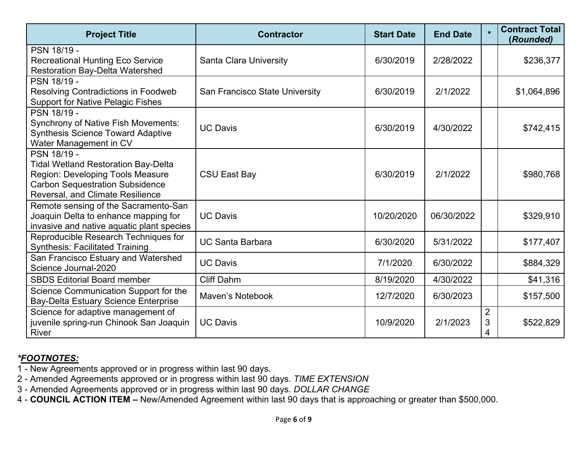| <b>Project Title</b>                                                                                                                                                               | <b>Contractor</b>              | <b>Start Date</b> | <b>End Date</b> | $\star$                  | <b>Contract Total</b><br>(Rounded) |
|------------------------------------------------------------------------------------------------------------------------------------------------------------------------------------|--------------------------------|-------------------|-----------------|--------------------------|------------------------------------|
| PSN 18/19 -<br><b>Recreational Hunting Eco Service</b><br><b>Restoration Bay-Delta Watershed</b>                                                                                   | <b>Santa Clara University</b>  | 6/30/2019         | 2/28/2022       |                          | \$236,377                          |
| PSN 18/19 -<br><b>Resolving Contradictions in Foodweb</b><br><b>Support for Native Pelagic Fishes</b>                                                                              | San Francisco State University | 6/30/2019         | 2/1/2022        |                          | \$1,064,896                        |
| PSN 18/19 -<br><b>Synchrony of Native Fish Movements:</b><br><b>Synthesis Science Toward Adaptive</b><br>Water Management in CV                                                    | <b>UC Davis</b>                | 6/30/2019         | 4/30/2022       |                          | \$742,415                          |
| PSN 18/19 -<br><b>Tidal Wetland Restoration Bay-Delta</b><br>Region: Developing Tools Measure<br><b>Carbon Sequestration Subsidence</b><br><b>Reversal, and Climate Resilience</b> | <b>CSU East Bay</b>            | 6/30/2019         | 2/1/2022        |                          | \$980,768                          |
| Remote sensing of the Sacramento-San<br>Joaquin Delta to enhance mapping for<br>invasive and native aquatic plant species                                                          | <b>UC Davis</b>                | 10/20/2020        | 06/30/2022      |                          | \$329,910                          |
| Reproducible Research Techniques for<br><b>Synthesis: Facilitated Training</b>                                                                                                     | <b>UC Santa Barbara</b>        | 6/30/2020         | 5/31/2022       |                          | \$177,407                          |
| San Francisco Estuary and Watershed<br>Science Journal-2020                                                                                                                        | <b>UC Davis</b>                | 7/1/2020          | 6/30/2022       |                          | \$884,329                          |
| <b>SBDS Editorial Board member</b>                                                                                                                                                 | <b>Cliff Dahm</b>              | 8/19/2020         | 4/30/2022       |                          | \$41,316                           |
| Science Communication Support for the<br><b>Bay-Delta Estuary Science Enterprise</b>                                                                                               | Maven's Notebook               | 12/7/2020         | 6/30/2023       |                          | \$157,500                          |
| Science for adaptive management of<br>juvenile spring-run Chinook San Joaquin<br>River                                                                                             | <b>UC Davis</b>                | 10/9/2020         | 2/1/2023        | $\overline{2}$<br>3<br>4 | \$522,829                          |

1 - New Agreements approved or in progress within last 90 days.

2 - Amended Agreements approved or in progress within last 90 days. *TIME EXTENSION* 

3 - Amended Agreements approved or in progress within last 90 days. *DOLLAR CHANGE* 

4 - **COUNCIL ACTION ITEM –** New/Amended Agreement within last 90 days that is approaching or greater than \$500,000.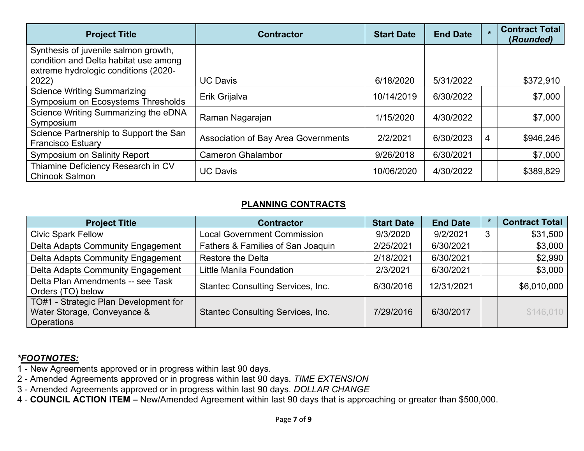| <b>Project Title</b>                                                                                                  | <b>Contractor</b>                   | <b>Start Date</b> | <b>End Date</b> | $\star$ | <b>Contract Total</b><br>(Rounded) |
|-----------------------------------------------------------------------------------------------------------------------|-------------------------------------|-------------------|-----------------|---------|------------------------------------|
| Synthesis of juvenile salmon growth,<br>condition and Delta habitat use among<br>extreme hydrologic conditions (2020- |                                     |                   |                 |         |                                    |
| 2022)                                                                                                                 | <b>UC Davis</b>                     | 6/18/2020         | 5/31/2022       |         | \$372,910                          |
| <b>Science Writing Summarizing</b><br>Symposium on Ecosystems Thresholds                                              | Erik Grijalva                       | 10/14/2019        | 6/30/2022       |         | \$7,000                            |
| Science Writing Summarizing the eDNA<br>Symposium                                                                     | Raman Nagarajan                     | 1/15/2020         | 4/30/2022       |         | \$7,000                            |
| Science Partnership to Support the San<br><b>Francisco Estuary</b>                                                    | Association of Bay Area Governments | 2/2/2021          | 6/30/2023       | 4       | \$946,246                          |
| <b>Symposium on Salinity Report</b>                                                                                   | <b>Cameron Ghalambor</b>            | 9/26/2018         | 6/30/2021       |         | \$7,000                            |
| Thiamine Deficiency Research in CV<br><b>Chinook Salmon</b>                                                           | <b>UC Davis</b>                     | 10/06/2020        | 4/30/2022       |         | \$389,829                          |

#### **PLANNING CONTRACTS**

| <b>Project Title</b>                                                               | <b>Contractor</b>                        | <b>Start Date</b> | <b>End Date</b> |   | <b>Contract Total</b> |
|------------------------------------------------------------------------------------|------------------------------------------|-------------------|-----------------|---|-----------------------|
| <b>Civic Spark Fellow</b>                                                          | <b>Local Government Commission</b>       | 9/3/2020          | 9/2/2021        | 3 | \$31,500              |
| Delta Adapts Community Engagement                                                  | Fathers & Families of San Joaquin        | 2/25/2021         | 6/30/2021       |   | \$3,000               |
| Delta Adapts Community Engagement                                                  | <b>Restore the Delta</b>                 | 2/18/2021         | 6/30/2021       |   | \$2,990               |
| Delta Adapts Community Engagement                                                  | Little Manila Foundation                 | 2/3/2021          | 6/30/2021       |   | \$3,000               |
| Delta Plan Amendments -- see Task<br>Orders (TO) below                             | <b>Stantec Consulting Services, Inc.</b> | 6/30/2016         | 12/31/2021      |   | \$6,010,000           |
| TO#1 - Strategic Plan Development for<br>Water Storage, Conveyance &<br>Operations | <b>Stantec Consulting Services, Inc.</b> | 7/29/2016         | 6/30/2017       |   | \$146,010             |

- 1 New Agreements approved or in progress within last 90 days.
- 2 Amended Agreements approved or in progress within last 90 days. *TIME EXTENSION*
- 3 Amended Agreements approved or in progress within last 90 days. *DOLLAR CHANGE*
- 4 **COUNCIL ACTION ITEM –** New/Amended Agreement within last 90 days that is approaching or greater than \$500,000.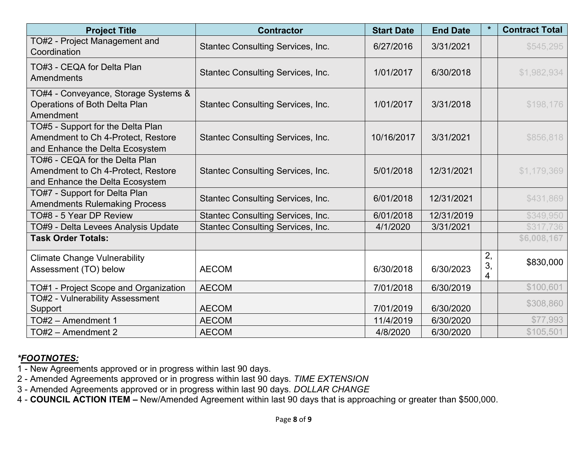| <b>Project Title</b>                                                                                       | <b>Contractor</b>                        | <b>Start Date</b> | <b>End Date</b> | $\star$       | <b>Contract Total</b> |
|------------------------------------------------------------------------------------------------------------|------------------------------------------|-------------------|-----------------|---------------|-----------------------|
| TO#2 - Project Management and<br>Coordination                                                              | <b>Stantec Consulting Services, Inc.</b> | 6/27/2016         | 3/31/2021       |               | \$545,295             |
| TO#3 - CEQA for Delta Plan<br><b>Amendments</b>                                                            | <b>Stantec Consulting Services, Inc.</b> | 1/01/2017         | 6/30/2018       |               | \$1,982,934           |
| TO#4 - Conveyance, Storage Systems &<br>Operations of Both Delta Plan<br>Amendment                         | <b>Stantec Consulting Services, Inc.</b> | 1/01/2017         | 3/31/2018       |               | \$198,176             |
| TO#5 - Support for the Delta Plan<br>Amendment to Ch 4-Protect, Restore<br>and Enhance the Delta Ecosystem | <b>Stantec Consulting Services, Inc.</b> | 10/16/2017        | 3/31/2021       |               | \$856,818             |
| TO#6 - CEQA for the Delta Plan<br>Amendment to Ch 4-Protect, Restore<br>and Enhance the Delta Ecosystem    | <b>Stantec Consulting Services, Inc.</b> | 5/01/2018         | 12/31/2021      |               | \$1,179,369           |
| TO#7 - Support for Delta Plan<br><b>Amendments Rulemaking Process</b>                                      | <b>Stantec Consulting Services, Inc.</b> | 6/01/2018         | 12/31/2021      |               | \$431,869             |
| TO#8 - 5 Year DP Review                                                                                    | Stantec Consulting Services, Inc.        | 6/01/2018         | 12/31/2019      |               | \$349,950             |
| TO#9 - Delta Levees Analysis Update                                                                        | <b>Stantec Consulting Services, Inc.</b> | 4/1/2020          | 3/31/2021       |               | \$317,736             |
| <b>Task Order Totals:</b>                                                                                  |                                          |                   |                 |               | \$6,008,167           |
| <b>Climate Change Vulnerability</b><br>Assessment (TO) below                                               | <b>AECOM</b>                             | 6/30/2018         | 6/30/2023       | 2,<br>3,<br>4 | \$830,000             |
| TO#1 - Project Scope and Organization                                                                      | <b>AECOM</b>                             | 7/01/2018         | 6/30/2019       |               | \$100,601             |
| TO#2 - Vulnerability Assessment<br>Support                                                                 | <b>AECOM</b>                             | 7/01/2019         | 6/30/2020       |               | \$308,860             |
| TO#2 - Amendment 1                                                                                         | <b>AECOM</b>                             | 11/4/2019         | 6/30/2020       |               | \$77,993              |
| TO#2 - Amendment 2                                                                                         | <b>AECOM</b>                             | 4/8/2020          | 6/30/2020       |               | \$105,501             |

- 1 New Agreements approved or in progress within last 90 days.
- 2 Amended Agreements approved or in progress within last 90 days. *TIME EXTENSION*
- 3 Amended Agreements approved or in progress within last 90 days. *DOLLAR CHANGE*
- 4 **COUNCIL ACTION ITEM –** New/Amended Agreement within last 90 days that is approaching or greater than \$500,000.